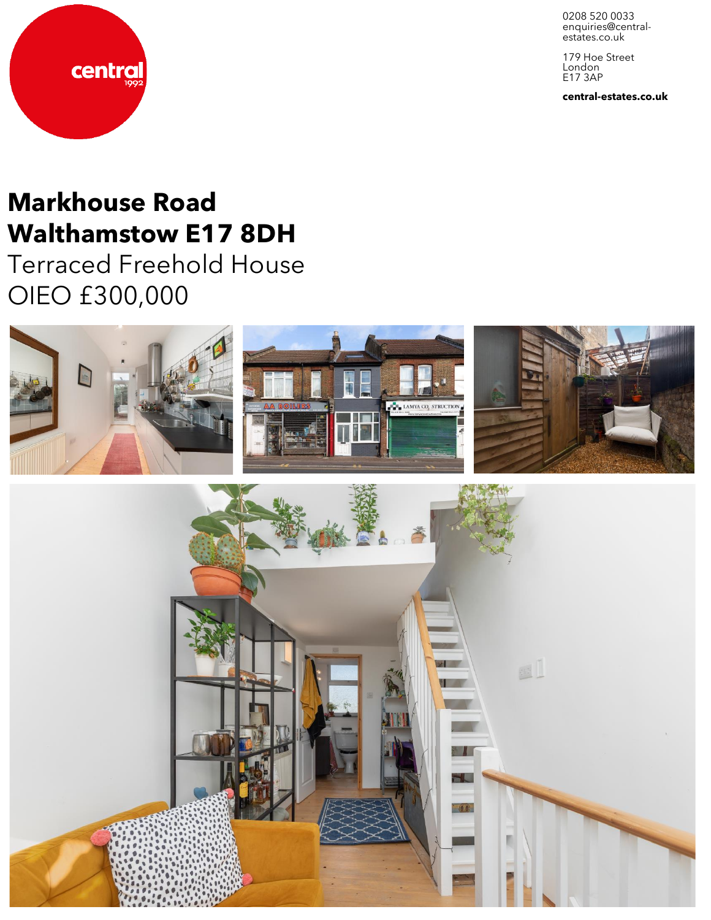0208 520 0033 enquiries@central-<br>estates.co.uk

179 Hoe Street London E17 3AP

**central-estates.co.uk**



# **Markhouse Road Walthamstow E17 8DH**

Terraced Freehold House OIEO £300,000